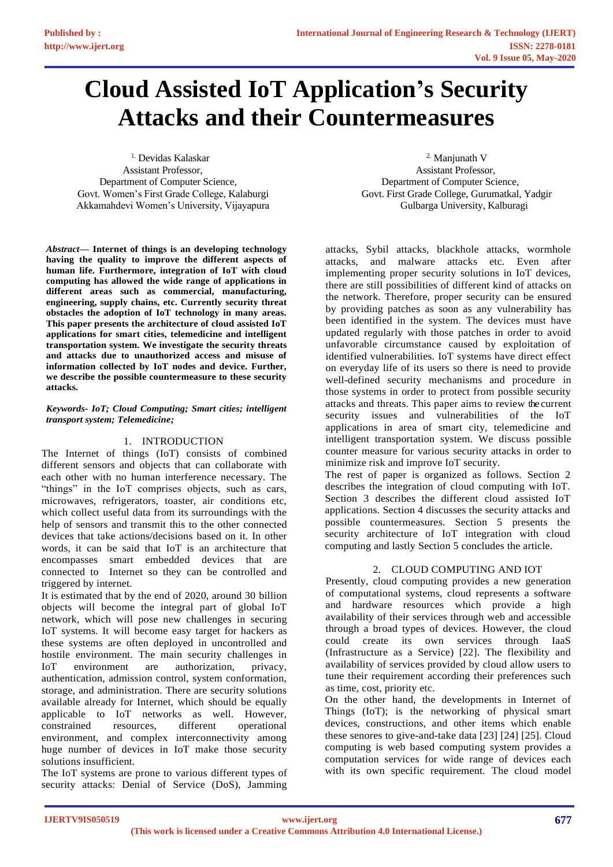# **Cloud Assisted IoT Application's Security Attacks and their Countermeasures**

1. Devidas Kalaskar Assistant Professor, Assistant Professor, Department of Computer Science, Department of Computer Science, Akkamahdevi Women's University, Vijayapura Gulbarga University, Kalburagi

2. Manjunath V Govt. Women's First Grade College, Kalaburgi Govt. First Grade College, Gurumatkal, Yadgir

*Abstract***— Internet of things is an developing technology having the quality to improve the different aspects of human life. Furthermore, integration of IoT with cloud computing has allowed the wide range of applications in different areas such as commercial, manufacturing, engineering, supply chains, etc. Currently security threat obstacles the adoption of IoT technology in many areas. This paper presents the architecture of cloud assisted IoT applications for smart cities, telemedicine and intelligent transportation system. We investigate the security threats and attacks due to unauthorized access and misuse of information collected by IoT nodes and device. Further, we describe the possible countermeasure to these security attacks.**

#### *Keywords- IoT; Cloud Computing; Smart cities; intelligent transport system; Telemedicine;*

# 1. INTRODUCTION

The Internet of things (IoT) consists of combined different sensors and objects that can collaborate with each other with no human interference necessary. The "things" in the IoT comprises objects, such as cars, microwaves, refrigerators, toaster, air conditions etc, which collect useful data from its surroundings with the help of sensors and transmit this to the other connected devices that take actions/decisions based on it. In other words, it can be said that IoT is an architecture that encompasses smart embedded devices that are connected to Internet so they can be controlled and triggered by internet.

It is estimated that by the end of 2020, around 30 billion objects will become the integral part of global IoT network, which will pose new challenges in securing IoT systems. It will become easy target for hackers as these systems are often deployed in uncontrolled and hostile environment. The main security challenges in IoT environment are authorization, privacy, authentication, admission control, system conformation, storage, and administration. There are security solutions available already for Internet, which should be equally applicable to IoT networks as well. However, constrained resources, different operational environment, and complex interconnectivity among huge number of devices in IoT make those security solutions insufficient.

The IoT systems are prone to various different types of security attacks: Denial of Service (DoS), Jamming attacks, Sybil attacks, blackhole attacks, wormhole attacks, and malware attacks etc. Even after implementing proper security solutions in IoT devices, there are still possibilities of different kind of attacks on the network. Therefore, proper security can be ensured by providing patches as soon as any vulnerability has been identified in the system. The devices must have updated regularly with those patches in order to avoid unfavorable circumstance caused by exploitation of identified vulnerabilities. IoT systems have direct effect on everyday life of its users so there is need to provide well-defined security mechanisms and procedure in those systems in order to protect from possible security attacks and threats. This paper aims to review the current security issues and vulnerabilities of the IoT applications in area of smart city, telemedicine and intelligent transportation system. We discuss possible counter measure for various security attacks in order to minimize risk and improve IoT security.

The rest of paper is organized as follows. Section 2 describes the integration of cloud computing with IoT. Section 3 describes the different cloud assisted IoT applications. Section 4 discusses the security attacks and possible countermeasures. Section 5 presents the security architecture of IoT integration with cloud computing and lastly Section 5 concludes the article.

# 2. CLOUD COMPUTING AND IOT

Presently, cloud computing provides a new generation of computational systems, cloud represents a software and hardware resources which provide a high availability of their services through web and accessible through a broad types of devices. However, the cloud could create its own services through IaaS (Infrastructure as a Service) [22]. The flexibility and availability of services provided by cloud allow users to tune their requirement according their preferences such as time, cost, priority etc.

On the other hand, the developments in Internet of Things (IoT); is the networking of physical smart devices, constructions, and other items which enable these senores to give-and-take data [23] [24] [25]. Cloud computing is web based computing system provides a computation services for wide range of devices each with its own specific requirement. The cloud model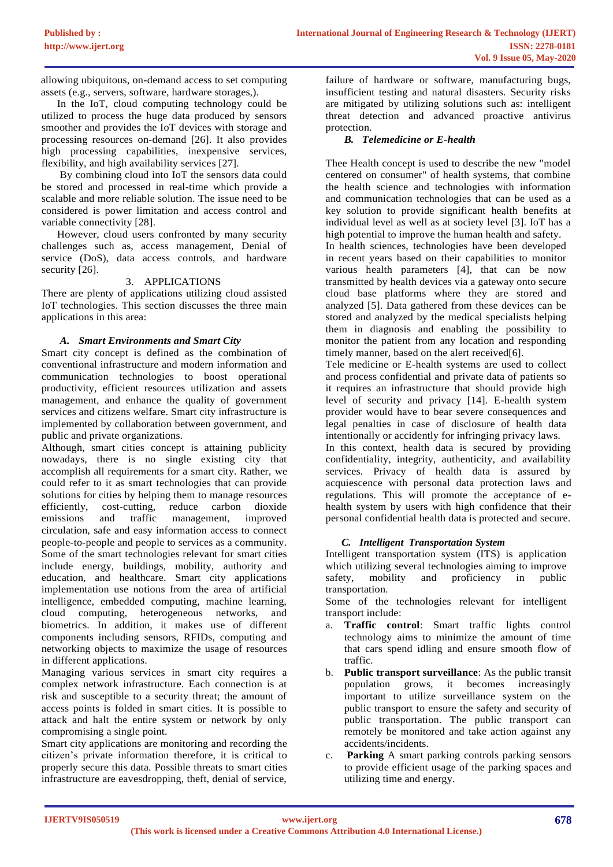allowing ubiquitous, on-demand access to set computing assets (e.g., servers, software, hardware storages,).

In the IoT, cloud computing technology could be utilized to process the huge data produced by sensors smoother and provides the IoT devices with storage and processing resources on-demand [26]. It also provides high processing capabilities, inexpensive services, flexibility, and high availability services [27].

By combining cloud into IoT the sensors data could be stored and processed in real-time which provide a scalable and more reliable solution. The issue need to be considered is power limitation and access control and variable connectivity [28].

However, cloud users confronted by many security challenges such as, access management, Denial of service (DoS), data access controls, and hardware security [26].

## 3. APPLICATIONS

There are plenty of applications utilizing cloud assisted IoT technologies. This section discusses the three main applications in this area:

## *A. Smart Environments and Smart City*

Smart city concept is defined as the combination of conventional infrastructure and modern information and communication technologies to boost operational productivity, efficient resources utilization and assets management, and enhance the quality of government services and citizens welfare. Smart city infrastructure is implemented by collaboration between government, and public and private organizations.

Although, smart cities concept is attaining publicity nowadays, there is no single existing city that accomplish all requirements for a smart city. Rather, we could refer to it as smart technologies that can provide solutions for cities by helping them to manage resources efficiently, cost-cutting, reduce carbon dioxide emissions and traffic management, improved circulation, safe and easy information access to connect people-to-people and people to services as a community. Some of the smart technologies relevant for smart cities include energy, buildings, mobility, authority and education, and healthcare. Smart city applications implementation use notions from the area of artificial intelligence, embedded computing, machine learning, cloud computing, heterogeneous networks, and biometrics. In addition, it makes use of different components including sensors, RFIDs, computing and networking objects to maximize the usage of resources in different applications.

Managing various services in smart city requires a complex network infrastructure. Each connection is at risk and susceptible to a security threat; the amount of access points is folded in smart cities. It is possible to attack and halt the entire system or network by only compromising a single point.

Smart city applications are monitoring and recording the citizen's private information therefore, it is critical to properly secure this data. Possible threats to smart cities infrastructure are eavesdropping, theft, denial of service,

failure of hardware or software, manufacturing bugs, insufficient testing and natural disasters. Security risks are mitigated by utilizing solutions such as: intelligent threat detection and advanced proactive antivirus protection.

# *B. Telemedicine or E-health*

Thee Health concept is used to describe the new "model centered on consumer" of health systems, that combine the health science and technologies with information and communication technologies that can be used as a key solution to provide significant health benefits at individual level as well as at society level [3]. IoT has a high potential to improve the human health and safety.

In health sciences, technologies have been developed in recent years based on their capabilities to monitor various health parameters [4], that can be now transmitted by health devices via a gateway onto secure cloud base platforms where they are stored and analyzed [5]. Data gathered from these devices can be stored and analyzed by the medical specialists helping them in diagnosis and enabling the possibility to monitor the patient from any location and responding timely manner, based on the alert received[6].

Tele medicine or E-health systems are used to collect and process confidential and private data of patients so it requires an infrastructure that should provide high level of security and privacy [14]. E-health system provider would have to bear severe consequences and legal penalties in case of disclosure of health data intentionally or accidently for infringing privacy laws.

In this context, health data is secured by providing confidentiality, integrity, authenticity, and availability services. Privacy of health data is assured by acquiescence with personal data protection laws and regulations. This will promote the acceptance of ehealth system by users with high confidence that their personal confidential health data is protected and secure.

## *C. Intelligent Transportation System*

Intelligent transportation system (ITS) is application which utilizing several technologies aiming to improve safety, mobility and proficiency in public transportation.

Some of the technologies relevant for intelligent transport include:

- a. **Traffic control**: Smart traffic lights control technology aims to minimize the amount of time that cars spend idling and ensure smooth flow of traffic.
- b. **Public transport surveillance**: As the public transit population grows, it becomes increasingly important to utilize surveillance system on the public transport to ensure the safety and security of public transportation. The public transport can remotely be monitored and take action against any accidents/incidents.
- c. **Parking** A smart parking controls parking sensors to provide efficient usage of the parking spaces and utilizing time and energy.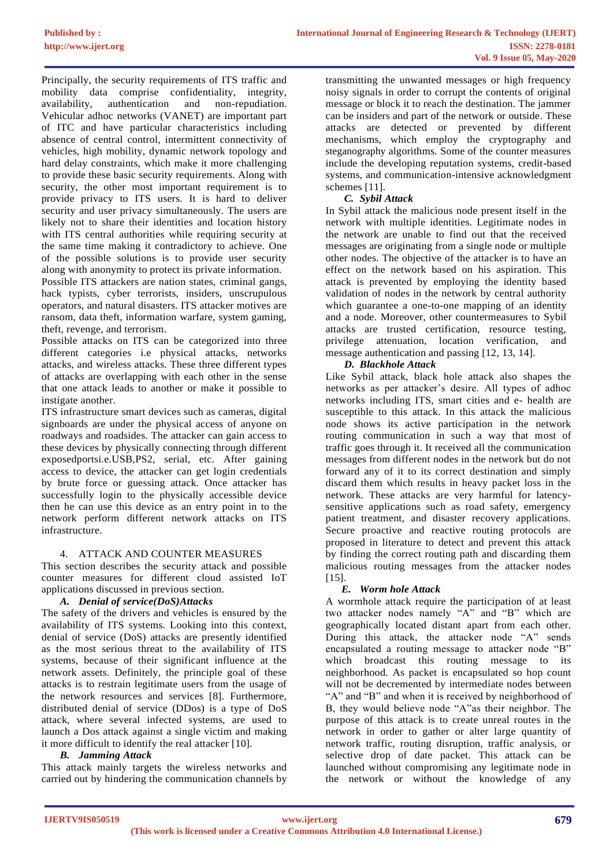Principally, the security requirements of ITS traffic and mobility data comprise confidentiality, integrity, availability, authentication and non-repudiation. Vehicular adhoc networks (VANET) are important part of ITC and have particular characteristics including absence of central control, intermittent connectivity of vehicles, high mobility, dynamic network topology and hard delay constraints, which make it more challenging to provide these basic security requirements. Along with security, the other most important requirement is to provide privacy to ITS users. It is hard to deliver security and user privacy simultaneously. The users are likely not to share their identities and location history with ITS central authorities while requiring security at the same time making it contradictory to achieve. One of the possible solutions is to provide user security along with anonymity to protect its private information.

Possible ITS attackers are nation states, criminal gangs, hack typists, cyber terrorists, insiders, unscrupulous operators, and natural disasters. ITS attacker motives are ransom, data theft, information warfare, system gaming, theft, revenge, and terrorism.

Possible attacks on ITS can be categorized into three different categories i.e physical attacks, networks attacks, and wireless attacks. These three different types of attacks are overlapping with each other in the sense that one attack leads to another or make it possible to instigate another.

ITS infrastructure smart devices such as cameras, digital signboards are under the physical access of anyone on roadways and roadsides. The attacker can gain access to these devices by physically connecting through different exposedportsi.e.USB,PS2, serial, etc. After gaining access to device, the attacker can get login credentials by brute force or guessing attack. Once attacker has successfully login to the physically accessible device then he can use this device as an entry point in to the network perform different network attacks on ITS infrastructure.

## 4. ATTACK AND COUNTER MEASURES

This section describes the security attack and possible counter measures for different cloud assisted IoT applications discussed in previous section.

# *A. Denial of service(DoS)Attacks*

The safety of the drivers and vehicles is ensured by the availability of ITS systems. Looking into this context, denial of service (DoS) attacks are presently identified as the most serious threat to the availability of ITS systems, because of their significant influence at the network assets. Definitely, the principle goal of these attacks is to restrain legitimate users from the usage of the network resources and services [8]. Furthermore, distributed denial of service (DDos) is a type of DoS attack, where several infected systems, are used to launch a Dos attack against a single victim and making it more difficult to identify the real attacker [10].

## *B. Jamming Attack*

This attack mainly targets the wireless networks and carried out by hindering the communication channels by transmitting the unwanted messages or high frequency noisy signals in order to corrupt the contents of original message or block it to reach the destination. The jammer can be insiders and part of the network or outside. These attacks are detected or prevented by different mechanisms, which employ the cryptography and steganography algorithms. Some of the counter measures include the developing reputation systems, credit-based systems, and communication-intensive acknowledgment schemes [11].

# *C. Sybil Attack*

In Sybil attack the malicious node present itself in the network with multiple identities. Legitimate nodes in the network are unable to find out that the received messages are originating from a single node or multiple other nodes. The objective of the attacker is to have an effect on the network based on his aspiration. This attack is prevented by employing the identity based validation of nodes in the network by central authority which guarantee a one-to-one mapping of an identity and a node. Moreover, other countermeasures to Sybil attacks are trusted certification, resource testing, privilege attenuation, location verification, and message authentication and passing [12, 13, 14].

## *D. Blackhole Attack*

Like Sybil attack, black hole attack also shapes the networks as per attacker's desire. All types of adhoc networks including ITS, smart cities and e- health are susceptible to this attack. In this attack the malicious node shows its active participation in the network routing communication in such a way that most of traffic goes through it. It received all the communication messages from different nodes in the network but do not forward any of it to its correct destination and simply discard them which results in heavy packet loss in the network. These attacks are very harmful for latencysensitive applications such as road safety, emergency patient treatment, and disaster recovery applications. Secure proactive and reactive routing protocols are proposed in literature to detect and prevent this attack by finding the correct routing path and discarding them malicious routing messages from the attacker nodes [15].

# *E. Worm hole Attack*

A wormhole attack require the participation of at least two attacker nodes namely "A" and "B" which are geographically located distant apart from each other. During this attack, the attacker node "A" sends encapsulated a routing message to attacker node "B" which broadcast this routing message to its neighborhood. As packet is encapsulated so hop count will not be decremented by intermediate nodes between "A" and "B" and when it is received by neighborhood of B, they would believe node "A"as their neighbor. The purpose of this attack is to create unreal routes in the network in order to gather or alter large quantity of network traffic, routing disruption, traffic analysis, or selective drop of date packet. This attack can be launched without compromising any legitimate node in the network or without the knowledge of any